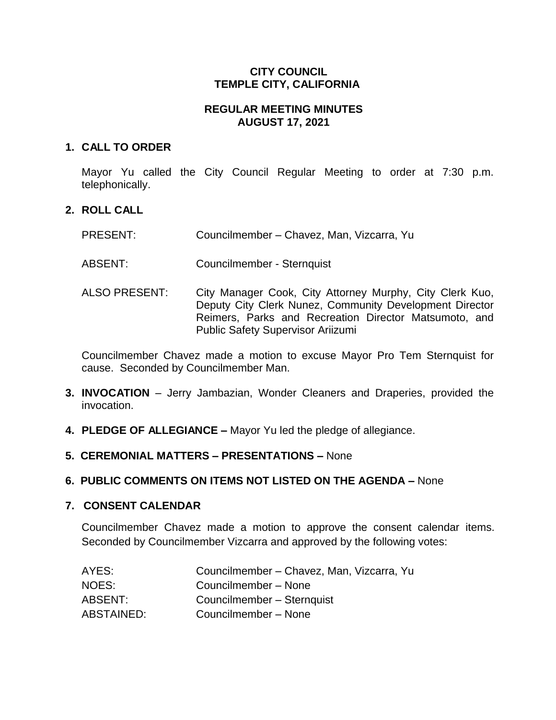### **CITY COUNCIL TEMPLE CITY, CALIFORNIA**

## **REGULAR MEETING MINUTES AUGUST 17, 2021**

### **1. CALL TO ORDER**

Mayor Yu called the City Council Regular Meeting to order at 7:30 p.m. telephonically.

# **2. ROLL CALL**

| <b>PRESENT:</b> | Councilmember - Chavez, Man, Vizcarra, Yu |  |
|-----------------|-------------------------------------------|--|
|                 |                                           |  |

- ABSENT: Councilmember Sternquist
- ALSO PRESENT: City Manager Cook, City Attorney Murphy, City Clerk Kuo, Deputy City Clerk Nunez, Community Development Director Reimers, Parks and Recreation Director Matsumoto, and Public Safety Supervisor Ariizumi

Councilmember Chavez made a motion to excuse Mayor Pro Tem Sternquist for cause. Seconded by Councilmember Man.

- **3. INVOCATION** Jerry Jambazian, Wonder Cleaners and Draperies, provided the invocation.
- **4. PLEDGE OF ALLEGIANCE –** Mayor Yu led the pledge of allegiance.
- **5. CEREMONIAL MATTERS – PRESENTATIONS –** None

### **6. PUBLIC COMMENTS ON ITEMS NOT LISTED ON THE AGENDA –** None

### **7. CONSENT CALENDAR**

Councilmember Chavez made a motion to approve the consent calendar items. Seconded by Councilmember Vizcarra and approved by the following votes:

| AYES:      | Councilmember - Chavez, Man, Vizcarra, Yu |
|------------|-------------------------------------------|
| NOES:      | Councilmember - None                      |
| ABSENT:    | Councilmember - Sternquist                |
| ABSTAINED: | Councilmember - None                      |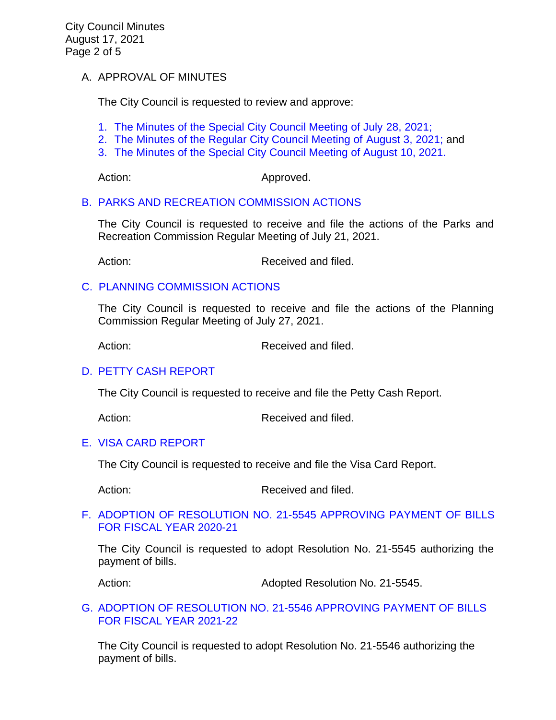### A. APPROVAL OF MINUTES

The City Council is requested to review and approve:

- 1. [The Minutes of the Special City Council Meeting of July 28, 2021;](https://www.ci.temple-city.ca.us/DocumentCenter/View/16630/7A-1_CCM---2021-07-28-Sheriffs-Monthly)
- 2. [The Minutes of the Regular City Council Meeting of August 3, 2021;](https://www.ci.temple-city.ca.us/DocumentCenter/View/16621/7A-2_CCM---2021-08-03-Regular) and
- 3. [The Minutes of the Special City Council Meeting of August 10, 2021.](https://www.ci.temple-city.ca.us/DocumentCenter/View/16622/7A-3_CCM---2021-08-10-Special)

Action: Approved.

### [B. PARKS AND RECREATION COMMISSION ACTIONS](https://www.ci.temple-city.ca.us/DocumentCenter/View/16623/7B_PRC-Actions-2021-7-21-FInal)

The City Council is requested to receive and file the actions of the Parks and Recreation Commission Regular Meeting of July 21, 2021.

Action: Received and filed.

### [C. PLANNING COMMISSION ACTIONS](https://www.ci.temple-city.ca.us/DocumentCenter/View/16624/7C_PC-Actions----2021-07-27)

The City Council is requested to receive and file the actions of the Planning Commission Regular Meeting of July 27, 2021.

Action: Received and filed.

### D. [PETTY CASH](https://www.ci.temple-city.ca.us/DocumentCenter/View/16626/7D_Petty-Cash-Report-PandR) REPORT

The City Council is requested to receive and file the Petty Cash Report.

Action: Received and filed.

### E. [VISA CARD REPORT](https://www.ci.temple-city.ca.us/DocumentCenter/View/16627/7E_Visa-Card-Report-8-17-21)

The City Council is requested to receive and file the Visa Card Report.

Action: Received and filed.

#### F. [ADOPTION OF RESOLUTION NO. 21-5545](https://www.ci.temple-city.ca.us/DocumentCenter/View/16628/7F_Reso-No-21-5545-081721---Warrants--Demands-FY-2020-2021) APPROVING PAYMENT OF BILLS [FOR FISCAL YEAR 2020-21](https://www.ci.temple-city.ca.us/DocumentCenter/View/16628/7F_Reso-No-21-5545-081721---Warrants--Demands-FY-2020-2021)

The City Council is requested to adopt Resolution No. 21-5545 authorizing the payment of bills.

Action: Mathematic Muslim Adopted Resolution No. 21-5545.

#### [G. ADOPTION OF RESOLUTION NO. 21-5546](https://www.ci.temple-city.ca.us/DocumentCenter/View/16629/7G_Reso-No-21-5546-081721---Warrants--Demands-FY-2021-2022) APPROVING PAYMENT OF BILLS [FOR FISCAL YEAR 2021-22](https://www.ci.temple-city.ca.us/DocumentCenter/View/16629/7G_Reso-No-21-5546-081721---Warrants--Demands-FY-2021-2022)

The City Council is requested to adopt Resolution No. 21-5546 authorizing the payment of bills.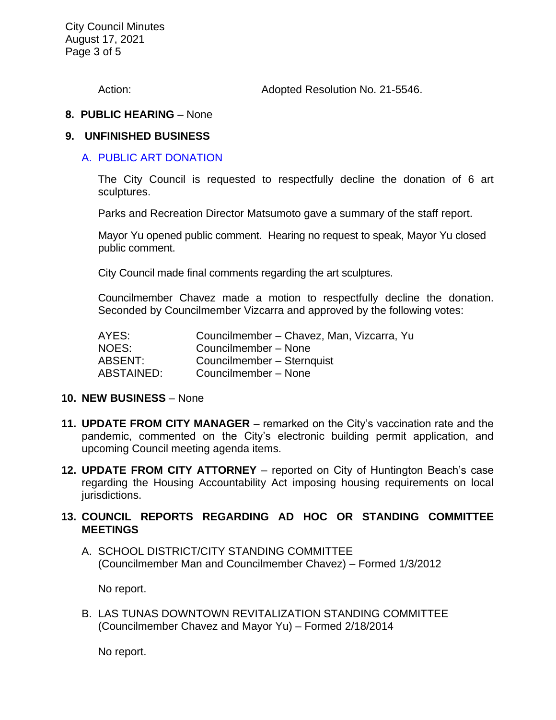City Council Minutes August 17, 2021 Page 3 of 5

Action: Adopted Resolution No. 21-5546.

#### **8. PUBLIC HEARING** – None

#### **9. UNFINISHED BUSINESS**

### A. [PUBLIC ART DONATION](https://www.ci.temple-city.ca.us/DocumentCenter/View/16625/9A_Public-Art-Donation_Staff-Report)

The City Council is requested to respectfully decline the donation of 6 art sculptures.

Parks and Recreation Director Matsumoto gave a summary of the staff report.

Mayor Yu opened public comment. Hearing no request to speak, Mayor Yu closed public comment.

City Council made final comments regarding the art sculptures.

Councilmember Chavez made a motion to respectfully decline the donation. Seconded by Councilmember Vizcarra and approved by the following votes:

| AYES:      | Councilmember - Chavez, Man, Vizcarra, Yu |
|------------|-------------------------------------------|
| NOES:      | Councilmember - None                      |
| ABSENT:    | Councilmember - Sternquist                |
| ABSTAINED: | Councilmember - None                      |

#### **10. NEW BUSINESS** – None

- **11. UPDATE FROM CITY MANAGER** remarked on the City's vaccination rate and the pandemic, commented on the City's electronic building permit application, and upcoming Council meeting agenda items.
- **12. UPDATE FROM CITY ATTORNEY**  reported on City of Huntington Beach's case regarding the Housing Accountability Act imposing housing requirements on local jurisdictions.

### **13. COUNCIL REPORTS REGARDING AD HOC OR STANDING COMMITTEE MEETINGS**

A. SCHOOL DISTRICT/CITY STANDING COMMITTEE (Councilmember Man and Councilmember Chavez) – Formed 1/3/2012

No report.

B. LAS TUNAS DOWNTOWN REVITALIZATION STANDING COMMITTEE (Councilmember Chavez and Mayor Yu) – Formed 2/18/2014

No report.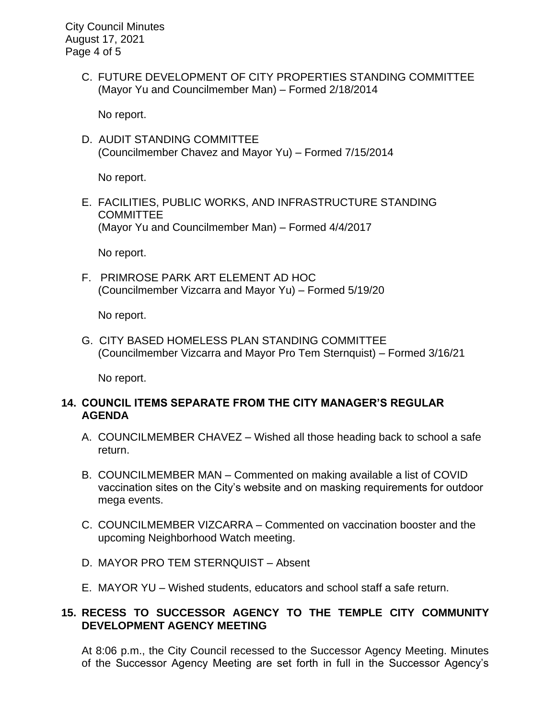City Council Minutes August 17, 2021 Page 4 of 5

> C. FUTURE DEVELOPMENT OF CITY PROPERTIES STANDING COMMITTEE (Mayor Yu and Councilmember Man) – Formed 2/18/2014

No report.

D. AUDIT STANDING COMMITTEE (Councilmember Chavez and Mayor Yu) – Formed 7/15/2014

No report.

E. FACILITIES, PUBLIC WORKS, AND INFRASTRUCTURE STANDING **COMMITTEE** (Mayor Yu and Councilmember Man) – Formed 4/4/2017

No report.

F. PRIMROSE PARK ART ELEMENT AD HOC (Councilmember Vizcarra and Mayor Yu) – Formed 5/19/20

No report.

G. CITY BASED HOMELESS PLAN STANDING COMMITTEE (Councilmember Vizcarra and Mayor Pro Tem Sternquist) – Formed 3/16/21

No report.

### **14. COUNCIL ITEMS SEPARATE FROM THE CITY MANAGER'S REGULAR AGENDA**

- A. COUNCILMEMBER CHAVEZ Wished all those heading back to school a safe return.
- B. COUNCILMEMBER MAN Commented on making available a list of COVID vaccination sites on the City's website and on masking requirements for outdoor mega events.
- C. COUNCILMEMBER VIZCARRA Commented on vaccination booster and the upcoming Neighborhood Watch meeting.
- D. MAYOR PRO TEM STERNQUIST Absent
- E. MAYOR YU Wished students, educators and school staff a safe return.

## **15. RECESS TO SUCCESSOR AGENCY TO THE TEMPLE CITY COMMUNITY DEVELOPMENT AGENCY MEETING**

At 8:06 p.m., the City Council recessed to the Successor Agency Meeting. Minutes of the Successor Agency Meeting are set forth in full in the Successor Agency's